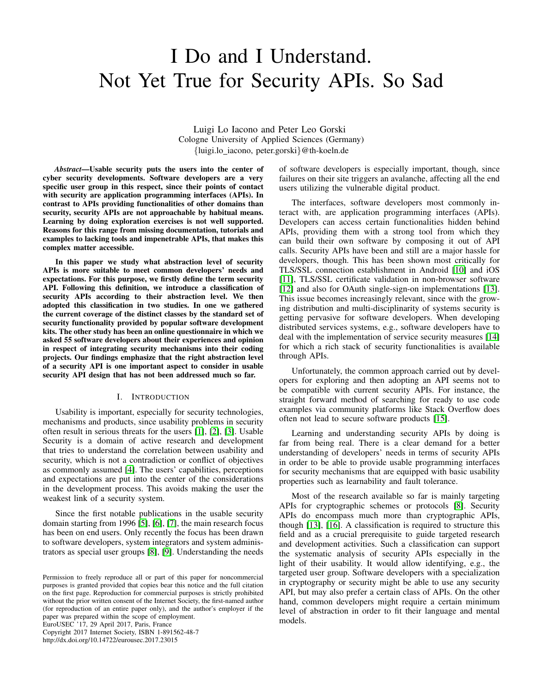# I Do and I Understand. Not Yet True for Security APIs. So Sad

Luigi Lo Iacono and Peter Leo Gorski Cologne University of Applied Sciences (Germany) {luigi.lo iacono, peter.gorski}@th-koeln.de

*Abstract*—Usable security puts the users into the center of cyber security developments. Software developers are a very specific user group in this respect, since their points of contact with security are application programming interfaces (APIs). In contrast to APIs providing functionalities of other domains than security, security APIs are not approachable by habitual means. Learning by doing exploration exercises is not well supported. Reasons for this range from missing documentation, tutorials and examples to lacking tools and impenetrable APIs, that makes this complex matter accessible.

In this paper we study what abstraction level of security APIs is more suitable to meet common developers' needs and expectations. For this purpose, we firstly define the term security API. Following this definition, we introduce a classification of security APIs according to their abstraction level. We then adopted this classification in two studies. In one we gathered the current coverage of the distinct classes by the standard set of security functionality provided by popular software development kits. The other study has been an online questionnaire in which we asked 55 software developers about their experiences and opinion in respect of integrating security mechanisms into their coding projects. Our findings emphasize that the right abstraction level of a security API is one important aspect to consider in usable security API design that has not been addressed much so far.

## I. INTRODUCTION

Usability is important, especially for security technologies, mechanisms and products, since usability problems in security often result in serious threats for the users [\[1\]](#page-8-0), [\[2\]](#page-8-1), [\[3\]](#page-8-2). Usable Security is a domain of active research and development that tries to understand the correlation between usability and security, which is not a contradiction or conflict of objectives as commonly assumed [\[4\]](#page-9-0). The users' capabilities, perceptions and expectations are put into the center of the considerations in the development process. This avoids making the user the weakest link of a security system.

Since the first notable publications in the usable security domain starting from 1996 [\[5\]](#page-9-1), [\[6\]](#page-9-2), [\[7\]](#page-9-3), the main research focus has been on end users. Only recently the focus has been drawn to software developers, system integrators and system administrators as special user groups [\[8\]](#page-9-4), [\[9\]](#page-9-5). Understanding the needs

EuroUSEC '17, 29 April 2017, Paris, France

Copyright 2017 Internet Society, ISBN 1-891562-48-7 http://dx.doi.org/10.14722/eurousec.2017.23015

of software developers is especially important, though, since failures on their site triggers an avalanche, affecting all the end users utilizing the vulnerable digital product.

The interfaces, software developers most commonly interact with, are application programming interfaces (APIs). Developers can access certain functionalities hidden behind APIs, providing them with a strong tool from which they can build their own software by composing it out of API calls. Security APIs have been and still are a major hassle for developers, though. This has been shown most critically for TLS/SSL connection establishment in Android [\[10\]](#page-9-6) and iOS [\[11\]](#page-9-7), TLS/SSL certificate validation in non-browser software [\[12\]](#page-9-8) and also for OAuth single-sign-on implementations [\[13\]](#page-9-9). This issue becomes increasingly relevant, since with the growing distribution and multi-disciplinarity of systems security is getting pervasive for software developers. When developing distributed services systems, e.g., software developers have to deal with the implementation of service security measures [\[14\]](#page-9-10) for which a rich stack of security functionalities is available through APIs.

Unfortunately, the common approach carried out by developers for exploring and then adopting an API seems not to be compatible with current security APIs. For instance, the straight forward method of searching for ready to use code examples via community platforms like Stack Overflow does often not lead to secure software products [\[15\]](#page-9-11).

Learning and understanding security APIs by doing is far from being real. There is a clear demand for a better understanding of developers' needs in terms of security APIs in order to be able to provide usable programming interfaces for security mechanisms that are equipped with basic usability properties such as learnability and fault tolerance.

Most of the research available so far is mainly targeting APIs for cryptographic schemes or protocols [\[8\]](#page-9-4). Security APIs do encompass much more than cryptographic APIs, though [\[13\]](#page-9-9), [\[16\]](#page-9-12). A classification is required to structure this field and as a crucial prerequisite to guide targeted research and development activities. Such a classification can support the systematic analysis of security APIs especially in the light of their usability. It would allow identifying, e.g., the targeted user group. Software developers with a specialization in cryptography or security might be able to use any security API, but may also prefer a certain class of APIs. On the other hand, common developers might require a certain minimum level of abstraction in order to fit their language and mental models.

Permission to freely reproduce all or part of this paper for noncommercial purposes is granted provided that copies bear this notice and the full citation on the first page. Reproduction for commercial purposes is strictly prohibited without the prior written consent of the Internet Society, the first-named author (for reproduction of an entire paper only), and the author's employer if the paper was prepared within the scope of employment.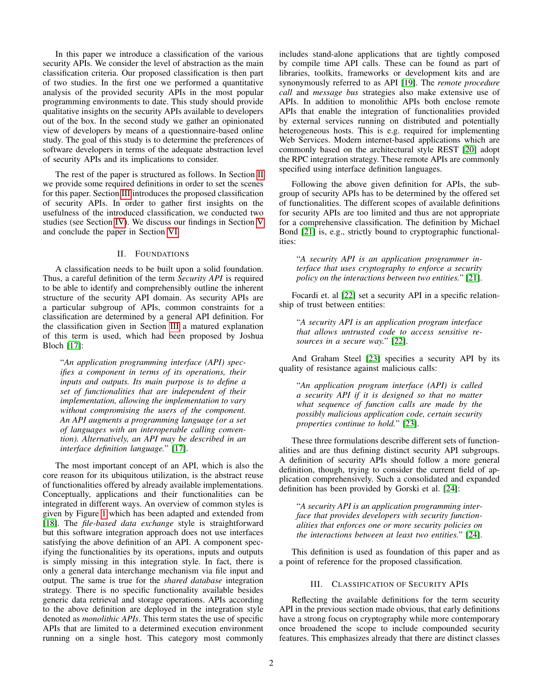In this paper we introduce a classification of the various security APIs. We consider the level of abstraction as the main classification criteria. Our proposed classification is then part of two studies. In the first one we performed a quantitative analysis of the provided security APIs in the most popular programming environments to date. This study should provide qualitative insights on the security APIs available to developers out of the box. In the second study we gather an opinionated view of developers by means of a questionnaire-based online study. The goal of this study is to determine the preferences of software developers in terms of the adequate abstraction level of security APIs and its implications to consider.

The rest of the paper is structured as follows. In Section [II](#page-1-0) we provide some required definitions in order to set the scenes for this paper. Section [III](#page-1-1) introduces the proposed classification of security APIs. In order to gather first insights on the usefulness of the introduced classification, we conducted two studies (see Section [IV\)](#page-3-0). We discuss our findings in Section [V](#page-5-0) and conclude the paper in Section [VI.](#page-8-3)

## II. FOUNDATIONS

<span id="page-1-0"></span>A classification needs to be built upon a solid foundation. Thus, a careful definition of the term *Security API* is required to be able to identify and comprehensibly outline the inherent structure of the security API domain. As security APIs are a particular subgroup of APIs, common constraints for a classification are determined by a general API definition. For the classification given in Section [III](#page-1-1) a matured explanation of this term is used, which had been proposed by Joshua Bloch [\[17\]](#page-9-13):

"*An application programming interface (API) specifies a component in terms of its operations, their inputs and outputs. Its main purpose is to define a set of functionalities that are independent of their implementation, allowing the implementation to vary without compromising the users of the component. An API augments a programming language (or a set of languages with an interoperable calling convention). Alternatively, an API may be described in an interface definition language.*" [\[17\]](#page-9-13).

The most important concept of an API, which is also the core reason for its ubiquitous utilization, is the abstract reuse of functionalities offered by already available implementations. Conceptually, applications and their functionalities can be integrated in different ways. An overview of common styles is given by Figure [1](#page-2-0) which has been adapted and extended from [\[18\]](#page-9-14). The *file-based data exchange* style is straightforward but this software integration approach does not use interfaces satisfying the above definition of an API. A component specifying the functionalities by its operations, inputs and outputs is simply missing in this integration style. In fact, there is only a general data interchange mechanism via file input and output. The same is true for the *shared database* integration strategy. There is no specific functionality available besides generic data retrieval and storage operations. APIs according to the above definition are deployed in the integration style denoted as *monolithic APIs*. This term states the use of specific APIs that are limited to a determined execution environment running on a single host. This category most commonly includes stand-alone applications that are tightly composed by compile time API calls. These can be found as part of libraries, toolkits, frameworks or development kits and are synonymously referred to as API [\[19\]](#page-9-15). The *remote procedure call* and *message bus* strategies also make extensive use of APIs. In addition to monolithic APIs both enclose remote APIs that enable the integration of functionalities provided by external services running on distributed and potentially heterogeneous hosts. This is e.g. required for implementing Web Services. Modern internet-based applications which are commonly based on the architectural style REST [\[20\]](#page-9-16) adopt the RPC integration strategy. These remote APIs are commonly specified using interface definition languages.

Following the above given definition for APIs, the subgroup of security APIs has to be determined by the offered set of functionalities. The different scopes of available definitions for security APIs are too limited and thus are not appropriate for a comprehensive classification. The definition by Michael Bond [\[21\]](#page-9-17) is, e.g., strictly bound to cryptographic functionalities:

"*A security API is an application programmer interface that uses cryptography to enforce a security policy on the interactions between two entities.*" [\[21\]](#page-9-17).

Focardi et. al [\[22\]](#page-9-18) set a security API in a specific relationship of trust between entities:

"*A security API is an application program interface that allows untrusted code to access sensitive resources in a secure way.*" [\[22\]](#page-9-18).

And Graham Steel [\[23\]](#page-9-19) specifies a security API by its quality of resistance against malicious calls:

"*An application program interface (API) is called a security API if it is designed so that no matter what sequence of function calls are made by the possibly malicious application code, certain security properties continue to hold.*" [\[23\]](#page-9-19).

These three formulations describe different sets of functionalities and are thus defining distinct security API subgroups. A definition of security APIs should follow a more general definition, though, trying to consider the current field of application comprehensively. Such a consolidated and expanded definition has been provided by Gorski et al. [\[24\]](#page-9-20):

"*A security API is an application programming interface that provides developers with security functionalities that enforces one or more security policies on the interactions between at least two entities.*" [\[24\]](#page-9-20).

This definition is used as foundation of this paper and as a point of reference for the proposed classification.

### III. CLASSIFICATION OF SECURITY APIS

<span id="page-1-1"></span>Reflecting the available definitions for the term security API in the previous section made obvious, that early definitions have a strong focus on cryptography while more contemporary once broadened the scope to include compounded security features. This emphasizes already that there are distinct classes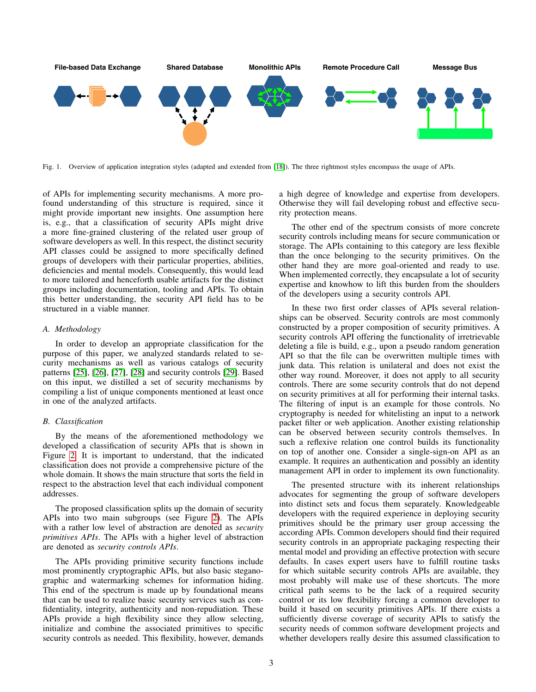

<span id="page-2-0"></span>Fig. 1. Overview of application integration styles (adapted and extended from [\[18\]](#page-9-14)). The three rightmost styles encompass the usage of APIs.

of APIs for implementing security mechanisms. A more profound understanding of this structure is required, since it might provide important new insights. One assumption here is, e.g., that a classification of security APIs might drive a more fine-grained clustering of the related user group of software developers as well. In this respect, the distinct security API classes could be assigned to more specifically defined groups of developers with their particular properties, abilities, deficiencies and mental models. Consequently, this would lead to more tailored and henceforth usable artifacts for the distinct groups including documentation, tooling and APIs. To obtain this better understanding, the security API field has to be structured in a viable manner.

#### *A. Methodology*

In order to develop an appropriate classification for the purpose of this paper, we analyzed standards related to security mechanisms as well as various catalogs of security patterns [\[25\]](#page-9-21), [\[26\]](#page-9-22), [\[27\]](#page-9-23), [\[28\]](#page-9-24) and security controls [\[29\]](#page-9-25). Based on this input, we distilled a set of security mechanisms by compiling a list of unique components mentioned at least once in one of the analyzed artifacts.

## *B. Classification*

By the means of the aforementioned methodology we developed a classification of security APIs that is shown in Figure [2.](#page-3-1) It is important to understand, that the indicated classification does not provide a comprehensive picture of the whole domain. It shows the main structure that sorts the field in respect to the abstraction level that each individual component addresses.

The proposed classification splits up the domain of security APIs into two main subgroups (see Figure [2\)](#page-3-1). The APIs with a rather low level of abstraction are denoted as *security primitives APIs*. The APIs with a higher level of abstraction are denoted as *security controls APIs*.

The APIs providing primitive security functions include most prominently cryptographic APIs, but also basic steganographic and watermarking schemes for information hiding. This end of the spectrum is made up by foundational means that can be used to realize basic security services such as confidentiality, integrity, authenticity and non-repudiation. These APIs provide a high flexibility since they allow selecting, initialize and combine the associated primitives to specific security controls as needed. This flexibility, however, demands a high degree of knowledge and expertise from developers. Otherwise they will fail developing robust and effective security protection means.

The other end of the spectrum consists of more concrete security controls including means for secure communication or storage. The APIs containing to this category are less flexible than the once belonging to the security primitives. On the other hand they are more goal-oriented and ready to use. When implemented correctly, they encapsulate a lot of security expertise and knowhow to lift this burden from the shoulders of the developers using a security controls API.

In these two first order classes of APIs several relationships can be observed. Security controls are most commonly constructed by a proper composition of security primitives. A security controls API offering the functionality of irretrievable deleting a file is build, e.g., upon a pseudo random generation API so that the file can be overwritten multiple times with junk data. This relation is unilateral and does not exist the other way round. Moreover, it does not apply to all security controls. There are some security controls that do not depend on security primitives at all for performing their internal tasks. The filtering of input is an example for those controls. No cryptography is needed for whitelisting an input to a network packet filter or web application. Another existing relationship can be observed between security controls themselves. In such a reflexive relation one control builds its functionality on top of another one. Consider a single-sign-on API as an example. It requires an authentication and possibly an identity management API in order to implement its own functionality.

The presented structure with its inherent relationships advocates for segmenting the group of software developers into distinct sets and focus them separately. Knowledgeable developers with the required experience in deploying security primitives should be the primary user group accessing the according APIs. Common developers should find their required security controls in an appropriate packaging respecting their mental model and providing an effective protection with secure defaults. In cases expert users have to fulfill routine tasks for which suitable security controls APIs are available, they most probably will make use of these shortcuts. The more critical path seems to be the lack of a required security control or its low flexibility forcing a common developer to build it based on security primitives APIs. If there exists a sufficiently diverse coverage of security APIs to satisfy the security needs of common software development projects and whether developers really desire this assumed classification to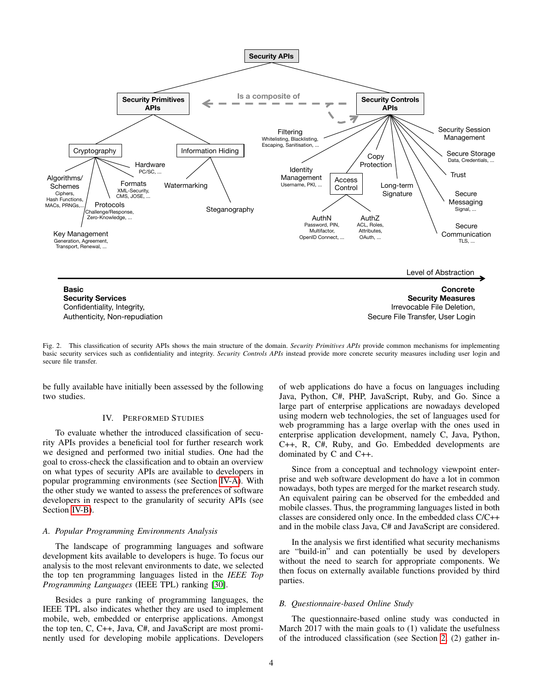

<span id="page-3-1"></span>Fig. 2. This classification of security APIs shows the main structure of the domain. *Security Primitives APIs* provide common mechanisms for implementing basic security services such as confidentiality and integrity. *Security Controls APIs* instead provide more concrete security measures including user login and secure file transfer.

<span id="page-3-0"></span>be fully available have initially been assessed by the following two studies.

#### IV. PERFORMED STUDIES

To evaluate whether the introduced classification of security APIs provides a beneficial tool for further research work we designed and performed two initial studies. One had the goal to cross-check the classification and to obtain an overview on what types of security APIs are available to developers in popular programming environments (see Section [IV-A\)](#page-3-2). With the other study we wanted to assess the preferences of software developers in respect to the granularity of security APIs (see Section [IV-B\)](#page-3-3).

### <span id="page-3-2"></span>*A. Popular Programming Environments Analysis*

The landscape of programming languages and software development kits available to developers is huge. To focus our analysis to the most relevant environments to date, we selected the top ten programming languages listed in the *IEEE Top Programming Languages* (IEEE TPL) ranking [\[30\]](#page-9-26).

Besides a pure ranking of programming languages, the IEEE TPL also indicates whether they are used to implement mobile, web, embedded or enterprise applications. Amongst the top ten, C, C++, Java, C#, and JavaScript are most prominently used for developing mobile applications. Developers of web applications do have a focus on languages including Java, Python, C#, PHP, JavaScript, Ruby, and Go. Since a large part of enterprise applications are nowadays developed using modern web technologies, the set of languages used for web programming has a large overlap with the ones used in enterprise application development, namely C, Java, Python, C++, R, C#, Ruby, and Go. Embedded developments are dominated by C and C++.

Since from a conceptual and technology viewpoint enterprise and web software development do have a lot in common nowadays, both types are merged for the market research study. An equivalent pairing can be observed for the embedded and mobile classes. Thus, the programming languages listed in both classes are considered only once. In the embedded class C/C++ and in the mobile class Java, C# and JavaScript are considered.

In the analysis we first identified what security mechanisms are "build-in" and can potentially be used by developers without the need to search for appropriate components. We then focus on externally available functions provided by third parties.

#### <span id="page-3-3"></span>*B. Questionnaire-based Online Study*

The questionnaire-based online study was conducted in March 2017 with the main goals to (1) validate the usefulness of the introduced classification (see Section [2,](#page-3-1) (2) gather in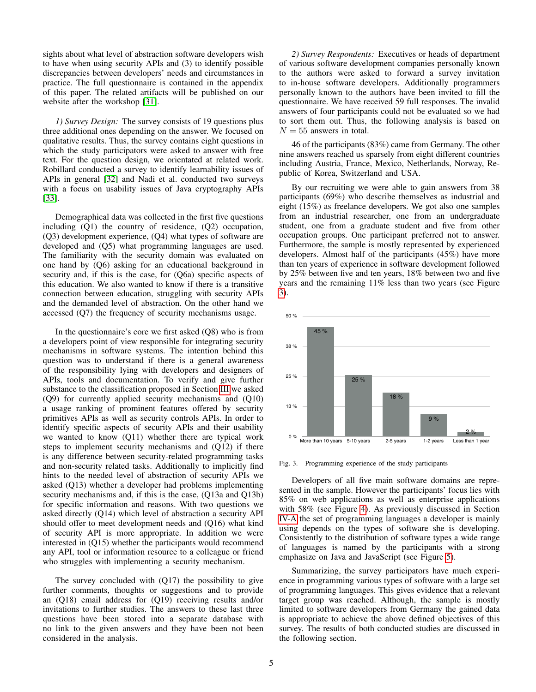sights about what level of abstraction software developers wish to have when using security APIs and (3) to identify possible discrepancies between developers' needs and circumstances in practice. The full questionnaire is contained in the appendix of this paper. The related artifacts will be published on our website after the workshop [\[31\]](#page-9-27).

*1) Survey Design:* The survey consists of 19 questions plus three additional ones depending on the answer. We focused on qualitative results. Thus, the survey contains eight questions in which the study participators were asked to answer with free text. For the question design, we orientated at related work. Robillard conducted a survey to identify learnability issues of APIs in general [\[32\]](#page-9-28) and Nadi et al. conducted two surveys with a focus on usability issues of Java cryptography APIs [\[33\]](#page-9-29).

Demographical data was collected in the first five questions including (Q1) the country of residence, (Q2) occupation, (Q3) development experience, (Q4) what types of software are developed and (Q5) what programming languages are used. The familiarity with the security domain was evaluated on one hand by (Q6) asking for an educational background in security and, if this is the case, for (Q6a) specific aspects of this education. We also wanted to know if there is a transitive connection between education, struggling with security APIs and the demanded level of abstraction. On the other hand we accessed (Q7) the frequency of security mechanisms usage.

In the questionnaire's core we first asked (Q8) who is from a developers point of view responsible for integrating security mechanisms in software systems. The intention behind this question was to understand if there is a general awareness of the responsibility lying with developers and designers of APIs, tools and documentation. To verify and give further substance to the classification proposed in Section [III](#page-1-1) we asked (Q9) for currently applied security mechanisms and (Q10) a usage ranking of prominent features offered by security primitives APIs as well as security controls APIs. In order to identify specific aspects of security APIs and their usability we wanted to know (Q11) whether there are typical work steps to implement security mechanisms and (Q12) if there is any difference between security-related programming tasks and non-security related tasks. Additionally to implicitly find hints to the needed level of abstraction of security APIs we asked (Q13) whether a developer had problems implementing security mechanisms and, if this is the case, (Q13a and Q13b) for specific information and reasons. With two questions we asked directly (Q14) which level of abstraction a security API should offer to meet development needs and (Q16) what kind of security API is more appropriate. In addition we were interested in (Q15) whether the participants would recommend any API, tool or information resource to a colleague or friend who struggles with implementing a security mechanism.

The survey concluded with (Q17) the possibility to give further comments, thoughts or suggestions and to provide an (Q18) email address for (Q19) receiving results and/or invitations to further studies. The answers to these last three questions have been stored into a separate database with no link to the given answers and they have been not been considered in the analysis.

*2) Survey Respondents:* Executives or heads of department of various software development companies personally known to the authors were asked to forward a survey invitation to in-house software developers. Additionally programmers personally known to the authors have been invited to fill the questionnaire. We have received 59 full responses. The invalid answers of four participants could not be evaluated so we had to sort them out. Thus, the following analysis is based on  $N = 55$  answers in total.

46 of the participants (83%) came from Germany. The other nine answers reached us sparsely from eight different countries including Austria, France, Mexico, Netherlands, Norway, Republic of Korea, Switzerland and USA.

By our recruiting we were able to gain answers from 38 participants (69%) who describe themselves as industrial and eight (15%) as freelance developers. We got also one samples from an industrial researcher, one from an undergraduate student, one from a graduate student and five from other occupation groups. One participant preferred not to answer. Furthermore, the sample is mostly represented by experienced developers. Almost half of the participants (45%) have more than ten years of experience in software development followed by 25% between five and ten years, 18% between two and five years and the remaining 11% less than two years (see Figure [3\)](#page-4-0).



<span id="page-4-0"></span>Fig. 3. Programming experience of the study participants

Developers of all five main software domains are represented in the sample. However the participants' focus lies with 85% on web applications as well as enterprise applications with 58% (see Figure [4\)](#page-5-1). As previously discussed in Section [IV-A](#page-3-2) the set of programming languages a developer is mainly using depends on the types of software she is developing. Consistently to the distribution of software types a wide range of languages is named by the participants with a strong emphasize on Java and JavaScript (see Figure [5\)](#page-5-2).

Summarizing, the survey participators have much experience in programming various types of software with a large set of programming languages. This gives evidence that a relevant target group was reached. Although, the sample is mostly limited to software developers from Germany the gained data is appropriate to achieve the above defined objectives of this survey. The results of both conducted studies are discussed in the following section.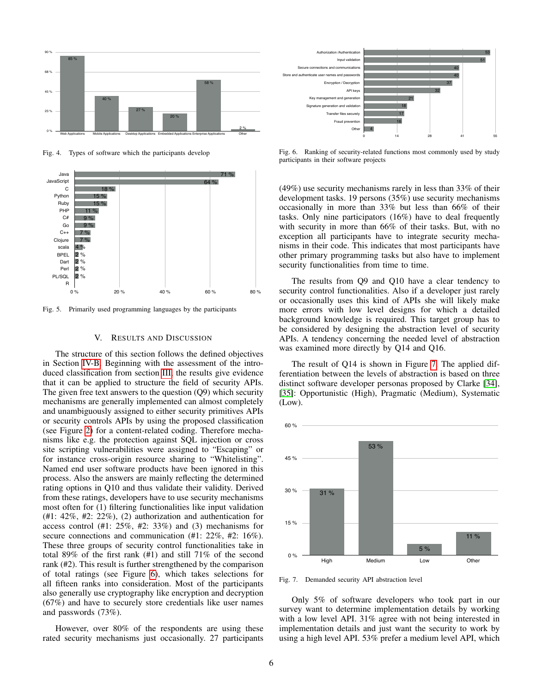

<span id="page-5-1"></span>Fig. 4. Types of software which the participants develop



<span id="page-5-2"></span>Fig. 5. Primarily used programming languages by the participants

#### V. RESULTS AND DISCUSSION

<span id="page-5-0"></span>and unambiguously assigned to either security primitives APIs The structure of this section follows the defined objectives in Section [IV-B.](#page-3-3) Beginning with the assessment of the introduced classification from section [III,](#page-1-1) the results give evidence that it can be applied to structure the field of security APIs. The given free text answers to the question (Q9) which security mechanisms are generally implemented can almost completely or security controls APIs by using the proposed classification (see Figure [2\)](#page-3-1) for a content-related coding. Therefore mechanisms like e.g. the protection against SQL injection or cross site scripting vulnerabilities were assigned to "Escaping" or for instance cross-origin resource sharing to "Whitelisting". Named end user software products have been ignored in this process. Also the answers are mainly reflecting the determined rating options in Q10 and thus validate their validity. Derived from these ratings, developers have to use security mechanisms most often for (1) filtering functionalities like input validation (#1: 42%, #2: 22%), (2) authorization and authentication for access control (#1: 25%, #2: 33%) and (3) mechanisms for secure connections and communication (#1: 22%, #2: 16%). These three groups of security control functionalities take in total 89% of the first rank (#1) and still 71% of the second rank (#2). This result is further strengthened by the comparison of total ratings (see Figure [6\)](#page-5-3), which takes selections for all fifteen ranks into consideration. Most of the participants also generally use cryptography like encryption and decryption (67%) and have to securely store credentials like user names and passwords (73%).

However, over 80% of the respondents are using these rated security mechanisms just occasionally. 27 participants



<span id="page-5-3"></span>Fig. 6. Ranking of security-related functions most commonly used by study participants in their software projects

(49%) use security mechanisms rarely in less than 33% of their development tasks. 19 persons (35%) use security mechanisms occasionally in more than 33% but less than 66% of their tasks. Only nine participators (16%) have to deal frequently with security in more than 66% of their tasks. But, with no exception all participants have to integrate security mechanisms in their code. This indicates that most participants have other primary programming tasks but also have to implement security functionalities from time to time.

The results from Q9 and Q10 have a clear tendency to security control functionalities. Also if a developer just rarely or occasionally uses this kind of APIs she will likely make more errors with low level designs for which a detailed background knowledge is required. This target group has to be considered by designing the abstraction level of security APIs. A tendency concerning the needed level of abstraction was examined more directly by Q14 and Q16.

The result of Q14 is shown in Figure [7.](#page-5-4) The applied differentiation between the levels of abstraction is based on three distinct software developer personas proposed by Clarke [\[34\]](#page-9-30), [\[35\]](#page-9-31): Opportunistic (High), Pragmatic (Medium), Systematic (Low).



<span id="page-5-4"></span>Fig. 7. Demanded security API abstraction level

Only 5% of software developers who took part in our survey want to determine implementation details by working with a low level API. 31% agree with not being interested in implementation details and just want the security to work by using a high level API. 53% prefer a medium level API, which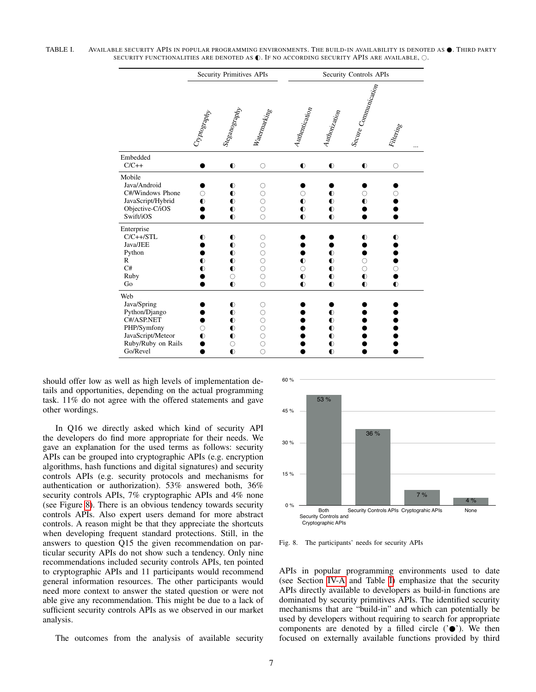TABLE I. AVAILABLE SECURITY APIS IN POPULAR PROGRAMMING ENVIRONMENTS. THE BUILD-IN AVAILABILITY IS DENOTED AS  $\bullet$ . Third party SECURITY FUNCTIONALITIES ARE DENOTED AS  $\mathbb O$ . IF NO ACCORDING SECURITY APIS ARE AVAILABLE,  $\odot$ .

<span id="page-6-1"></span>

|                                                                                                                         | <b>Security Primitives APIs</b> |                                                                                       |                                                                                       | Security Controls APIs                            |                                                                            |                                                     |                                   |  |
|-------------------------------------------------------------------------------------------------------------------------|---------------------------------|---------------------------------------------------------------------------------------|---------------------------------------------------------------------------------------|---------------------------------------------------|----------------------------------------------------------------------------|-----------------------------------------------------|-----------------------------------|--|
|                                                                                                                         | Cryptography                    | Steganography                                                                         | Watermarking                                                                          | Authentication                                    | Authorization                                                              | <sup>1</sup> Secure Communication                   | Filtering                         |  |
| Embedded<br>$C/C++$                                                                                                     |                                 | $\bullet$                                                                             | $\circ$                                                                               | $\bullet$                                         | $\bullet$                                                                  | $\bullet$                                           | $\circ$                           |  |
| Mobile<br>Java/Android<br>C#/Windows Phone<br>JavaScript/Hybrid<br>Objective-C/iOS<br>Swift/iOS                         | $\bullet$                       | $\bullet$<br>$\bullet$<br>$\bullet$<br>$\bullet$<br>$\bullet$                         | O<br>$\circ$<br>$\circ$<br>$\circ$<br>$\circ$                                         | O<br>$\bullet$<br>$\bullet$<br>$\bullet$          | $\bullet$<br>$\bullet$<br>$\bullet$<br>$\bullet$                           | $\bullet$                                           |                                   |  |
| Enterprise<br>$C/C++/STL$<br>Java/JEE<br>Python<br>$\mathbb{R}$<br>C#<br>Ruby<br>Go                                     | ◐<br>$\bullet$<br>◐             | $\bullet$<br>$\bullet$<br>$\bullet$<br>$\bullet$<br>$\bullet$<br>$\circ$<br>$\bullet$ | $\circlearrowright$<br>$\circ$<br>$\circ$<br>$\circ$<br>$\circ$<br>$\circ$<br>$\circ$ | $\bullet$<br>$\bigcirc$<br>$\bullet$<br>$\bullet$ | $\bullet$<br>$\bullet$<br>$\bullet$<br>$\bullet$<br>$\bullet$              | $\bullet$<br>Ω<br>$\circ$<br>$\bullet$<br>$\bullet$ | $\bullet$<br>$\circ$<br>$\bullet$ |  |
| Web<br>Java/Spring<br>Python/Django<br>C#/ASP.NET<br>PHP/Symfony<br>JavaScript/Meteor<br>Ruby/Ruby on Rails<br>Go/Revel | $\bullet$                       | $\bullet$<br>$\bullet$<br>$\bullet$<br>$\bullet$<br>$\bullet$<br>$\circ$<br>$\bullet$ | 0<br>$\circ$<br>$\circ$<br>$\circ$<br>$\circ$<br>$\circ$<br>$\circ$                   |                                                   | $\bullet$<br>$\bullet$<br>$\bullet$<br>$\bullet$<br>$\bullet$<br>$\bullet$ |                                                     |                                   |  |

should offer low as well as high levels of implementation details and opportunities, depending on the actual programming task. 11% do not agree with the offered statements and gave other wordings.

In Q16 we directly asked which kind of security API the developers do find more appropriate for their needs. We gave an explanation for the used terms as follows: security APIs can be grouped into cryptographic APIs (e.g. encryption algorithms, hash functions and digital signatures) and security controls APIs (e.g. security protocols and mechanisms for authentication or authorization). 53% answered both, 36% security controls APIs, 7% cryptographic APIs and 4% none (see Figure [8\)](#page-6-0). There is an obvious tendency towards security controls APIs. Also expert users demand for more abstract controls. A reason might be that they appreciate the shortcuts when developing frequent standard protections. Still, in the answers to question Q15 the given recommendation on particular security APIs do not show such a tendency. Only nine recommendations included security controls APIs, ten pointed to cryptographic APIs and 11 participants would recommend general information resources. The other participants would need more context to answer the stated question or were not able give any recommendation. This might be due to a lack of sufficient security controls APIs as we observed in our market analysis.

The outcomes from the analysis of available security



<span id="page-6-0"></span>Fig. 8. The participants' needs for security APIs

APIs in popular programming environments used to date (see Section [IV-A](#page-3-2) and Table [I\)](#page-6-1) emphasize that the security APIs directly available to developers as build-in functions are dominated by security primitives APIs. The identified security mechanisms that are "build-in" and which can potentially be used by developers without requiring to search for appropriate components are denoted by a filled circle  $(°\bullet)$ . We then focused on externally available functions provided by third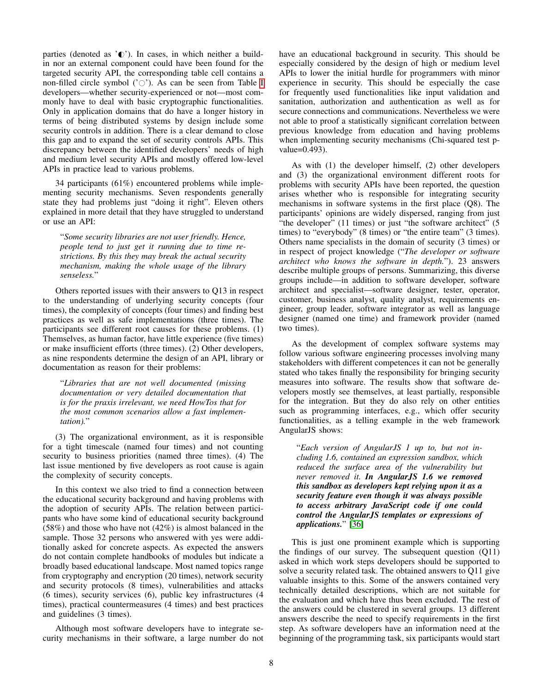parties (denoted as  $\check{\mathbb{C}}$ ). In cases, in which neither a buildin nor an external component could have been found for the targeted security API, the corresponding table cell contains a non-filled circle symbol  $(°\circ)$ . As can be seen from Table [I](#page-6-1) developers—whether security-experienced or not—most commonly have to deal with basic cryptographic functionalities. Only in application domains that do have a longer history in terms of being distributed systems by design include some security controls in addition. There is a clear demand to close this gap and to expand the set of security controls APIs. This discrepancy between the identified developers' needs of high and medium level security APIs and mostly offered low-level APIs in practice lead to various problems.

34 participants (61%) encountered problems while implementing security mechanisms. Seven respondents generally state they had problems just "doing it right". Eleven others explained in more detail that they have struggled to understand or use an API:

"*Some security libraries are not user friendly. Hence, people tend to just get it running due to time restrictions. By this they may break the actual security mechanism, making the whole usage of the library senseless.*"

Others reported issues with their answers to Q13 in respect to the understanding of underlying security concepts (four times), the complexity of concepts (four times) and finding best practices as well as safe implementations (three times). The participants see different root causes for these problems. (1) Themselves, as human factor, have little experience (five times) or make insufficient efforts (three times). (2) Other developers, as nine respondents determine the design of an API, library or documentation as reason for their problems:

"*Libraries that are not well documented (missing documentation or very detailed documentation that is for the praxis irrelevant, we need HowTos that for the most common scenarios allow a fast implementation).*"

(3) The organizational environment, as it is responsible for a tight timescale (named four times) and not counting security to business priorities (named three times). (4) The last issue mentioned by five developers as root cause is again the complexity of security concepts.

In this context we also tried to find a connection between the educational security background and having problems with the adoption of security APIs. The relation between participants who have some kind of educational security background (58%) and those who have not (42%) is almost balanced in the sample. Those 32 persons who answered with yes were additionally asked for concrete aspects. As expected the answers do not contain complete handbooks of modules but indicate a broadly based educational landscape. Most named topics range from cryptography and encryption (20 times), network security and security protocols (8 times), vulnerabilities and attacks (6 times), security services (6), public key infrastructures (4 times), practical countermeasures (4 times) and best practices and guidelines (3 times).

Although most software developers have to integrate security mechanisms in their software, a large number do not have an educational background in security. This should be especially considered by the design of high or medium level APIs to lower the initial hurdle for programmers with minor experience in security. This should be especially the case for frequently used functionalities like input validation and sanitation, authorization and authentication as well as for secure connections and communications. Nevertheless we were not able to proof a statistically significant correlation between previous knowledge from education and having problems when implementing security mechanisms (Chi-squared test pvalue=0.493).

As with (1) the developer himself, (2) other developers and (3) the organizational environment different roots for problems with security APIs have been reported, the question arises whether who is responsible for integrating security mechanisms in software systems in the first place (Q8). The participants' opinions are widely dispersed, ranging from just "the developer" (11 times) or just "the software architect" (5 times) to "everybody" (8 times) or "the entire team" (3 times). Others name specialists in the domain of security (3 times) or in respect of project knowledge ("*The developer or software architect who knows the software in depth.*"). 23 answers describe multiple groups of persons. Summarizing, this diverse groups include—in addition to software developer, software architect and specialist—software designer, tester, operator, customer, business analyst, quality analyst, requirements engineer, group leader, software integrator as well as language designer (named one time) and framework provider (named two times).

As the development of complex software systems may follow various software engineering processes involving many stakeholders with different competences it can not be generally stated who takes finally the responsibility for bringing security measures into software. The results show that software developers mostly see themselves, at least partially, responsible for the integration. But they do also rely on other entities such as programming interfaces, e.g., which offer security functionalities, as a telling example in the web framework AngularJS shows:

"*Each version of AngularJS 1 up to, but not including 1.6, contained an expression sandbox, which reduced the surface area of the vulnerability but never removed it. In AngularJS 1.6 we removed this sandbox as developers kept relying upon it as a security feature even though it was always possible to access arbitrary JavaScript code if one could control the AngularJS templates or expressions of applications.*" [\[36\]](#page-9-32)

This is just one prominent example which is supporting the findings of our survey. The subsequent question (Q11) asked in which work steps developers should be supported to solve a security related task. The obtained answers to Q11 give valuable insights to this. Some of the answers contained very technically detailed descriptions, which are not suitable for the evaluation and which have thus been excluded. The rest of the answers could be clustered in several groups. 13 different answers describe the need to specify requirements in the first step. As software developers have an information need at the beginning of the programming task, six participants would start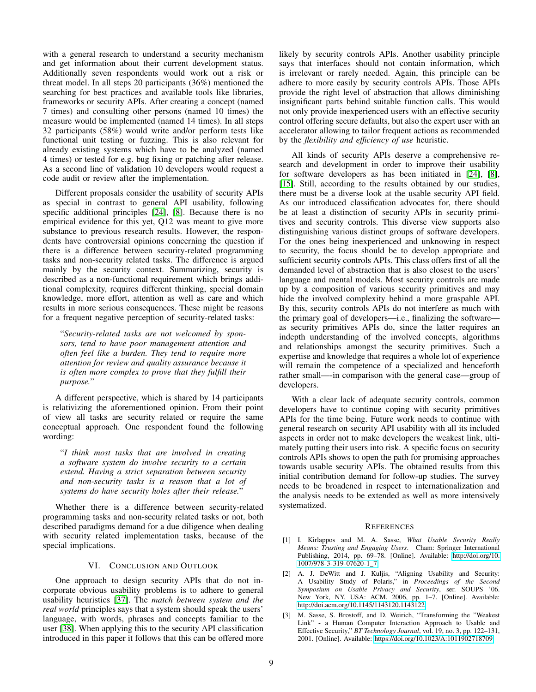with a general research to understand a security mechanism and get information about their current development status. Additionally seven respondents would work out a risk or threat model. In all steps 20 participants (36%) mentioned the searching for best practices and available tools like libraries, frameworks or security APIs. After creating a concept (named 7 times) and consulting other persons (named 10 times) the measure would be implemented (named 14 times). In all steps 32 participants (58%) would write and/or perform tests like functional unit testing or fuzzing. This is also relevant for already existing systems which have to be analyzed (named 4 times) or tested for e.g. bug fixing or patching after release. As a second line of validation 10 developers would request a code audit or review after the implementation.

Different proposals consider the usability of security APIs as special in contrast to general API usability, following specific additional principles [\[24\]](#page-9-20), [\[8\]](#page-9-4). Because there is no empirical evidence for this yet, Q12 was meant to give more substance to previous research results. However, the respondents have controversial opinions concerning the question if there is a difference between security-related programming tasks and non-security related tasks. The difference is argued mainly by the security context. Summarizing, security is described as a non-functional requirement which brings additional complexity, requires different thinking, special domain knowledge, more effort, attention as well as care and which results in more serious consequences. These might be reasons for a frequent negative perception of security-related tasks:

"*Security-related tasks are not welcomed by sponsors, tend to have poor management attention and often feel like a burden. They tend to require more attention for review and quality assurance because it is often more complex to prove that they fulfill their purpose.*"

A different perspective, which is shared by 14 participants is relativizing the aforementioned opinion. From their point of view all tasks are security related or require the same conceptual approach. One respondent found the following wording:

"*I think most tasks that are involved in creating a software system do involve security to a certain extend. Having a strict separation between security and non-security tasks is a reason that a lot of systems do have security holes after their release.*"

Whether there is a difference between security-related programming tasks and non-security related tasks or not, both described paradigms demand for a due diligence when dealing with security related implementation tasks, because of the special implications.

## VI. CONCLUSION AND OUTLOOK

<span id="page-8-3"></span>One approach to design security APIs that do not incorporate obvious usability problems is to adhere to general usability heuristics [\[37\]](#page-9-33). The *match between system and the real world* principles says that a system should speak the users' language, with words, phrases and concepts familiar to the user [\[38\]](#page-9-34). When applying this to the security API classification introduced in this paper it follows that this can be offered more likely by security controls APIs. Another usability principle says that interfaces should not contain information, which is irrelevant or rarely needed. Again, this principle can be adhere to more easily by security controls APIs. Those APIs provide the right level of abstraction that allows diminishing insignificant parts behind suitable function calls. This would not only provide inexperienced users with an effective security control offering secure defaults, but also the expert user with an accelerator allowing to tailor frequent actions as recommended by the *flexibility and efficiency of use* heuristic.

All kinds of security APIs deserve a comprehensive research and development in order to improve their usability for software developers as has been initiated in [\[24\]](#page-9-20), [\[8\]](#page-9-4), [\[15\]](#page-9-11). Still, according to the results obtained by our studies, there must be a diverse look at the usable security API field. As our introduced classification advocates for, there should be at least a distinction of security APIs in security primitives and security controls. This diverse view supports also distinguishing various distinct groups of software developers. For the ones being inexperienced and unknowing in respect to security, the focus should be to develop appropriate and sufficient security controls APIs. This class offers first of all the demanded level of abstraction that is also closest to the users' language and mental models. Most security controls are made up by a composition of various security primitives and may hide the involved complexity behind a more graspable API. By this, security controls APIs do not interfere as much with the primary goal of developers—i.e., finalizing the software as security primitives APIs do, since the latter requires an indepth understanding of the involved concepts, algorithms and relationships amongst the security primitives. Such a expertise and knowledge that requires a whole lot of experience will remain the competence of a specialized and henceforth rather small—-in comparison with the general case—group of developers.

With a clear lack of adequate security controls, common developers have to continue coping with security primitives APIs for the time being. Future work needs to continue with general research on security API usability with all its included aspects in order not to make developers the weakest link, ultimately putting their users into risk. A specific focus on security controls APIs shows to open the path for promising approaches towards usable security APIs. The obtained results from this initial contribution demand for follow-up studies. The survey needs to be broadened in respect to internationalization and the analysis needs to be extended as well as more intensively systematized.

#### **REFERENCES**

- <span id="page-8-0"></span>[1] I. Kirlappos and M. A. Sasse, *What Usable Security Really Means: Trusting and Engaging Users*. Cham: Springer International Publishing, 2014, pp. 69–78. [Online]. Available: [http://doi.org/10.](http://doi.org/10.1007/978-3-319-07620-1_7) [1007/978-3-319-07620-1](http://doi.org/10.1007/978-3-319-07620-1_7) 7
- <span id="page-8-1"></span>[2] A. J. DeWitt and J. Kuljis, "Aligning Usability and Security: A Usability Study of Polaris," in *Proceedings of the Second Symposium on Usable Privacy and Security*, ser. SOUPS '06. New York, NY, USA: ACM, 2006, pp. 1–7. [Online]. Available: <http://doi.acm.org/10.1145/1143120.1143122>
- <span id="page-8-2"></span>[3] M. Sasse, S. Brostoff, and D. Weirich, "Transforming the "Weakest Link" - a Human Computer Interaction Approach to Usable and Effective Security," *BT Technology Journal*, vol. 19, no. 3, pp. 122–131, 2001. [Online]. Available:<https://doi.org/10.1023/A:1011902718709>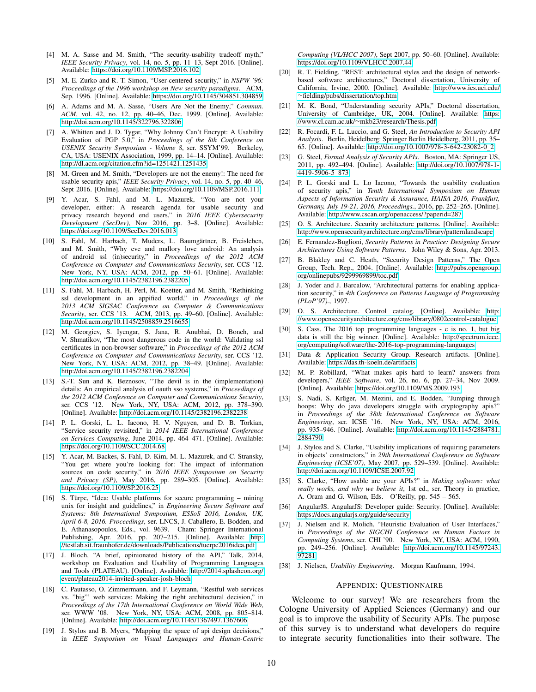- <span id="page-9-0"></span>[4] M. A. Sasse and M. Smith, "The security-usability tradeoff myth," *IEEE Security Privacy*, vol. 14, no. 5, pp. 11–13, Sept 2016. [Online]. Available:<https://doi.org/10.1109/MSP.2016.102>
- <span id="page-9-1"></span>[5] M. E. Zurko and R. T. Simon, "User-centered security," in *NSPW '96: Proceedings of the 1996 workshop on New security paradigms*. ACM, Sep. 1996. [Online]. Available:<https://doi.org/10.1145/304851.304859>
- <span id="page-9-2"></span>[6] A. Adams and M. A. Sasse, "Users Are Not the Enemy," *Commun. ACM*, vol. 42, no. 12, pp. 40–46, Dec. 1999. [Online]. Available: <http://doi.acm.org/10.1145/322796.322806>
- <span id="page-9-3"></span>[7] A. Whitten and J. D. Tygar, "Why Johnny Can't Encrypt: A Usability Evaluation of PGP 5.0," in *Proceedings of the 8th Conference on USENIX Security Symposium - Volume 8*, ser. SSYM'99. Berkeley, CA, USA: USENIX Association, 1999, pp. 14–14. [Online]. Available: <http://dl.acm.org/citation.cfm?id=1251421.1251435>
- <span id="page-9-4"></span>[8] M. Green and M. Smith, "Developers are not the enemy!: The need for usable security apis," *IEEE Security Privacy*, vol. 14, no. 5, pp. 40–46, Sept 2016. [Online]. Available:<https://doi.org/10.1109/MSP.2016.111>
- <span id="page-9-5"></span>[9] Y. Acar, S. Fahl, and M. L. Mazurek, "You are not your developer, either: A research agenda for usable security and privacy research beyond end users," in *2016 IEEE Cybersecurity Development (SecDev)*, Nov 2016, pp. 3–8. [Online]. Available: <https://doi.org/10.1109/SecDev.2016.013>
- <span id="page-9-6"></span>[10] S. Fahl, M. Harbach, T. Muders, L. Baumgärtner, B. Freisleben, and M. Smith, "Why eve and mallory love android: An analysis of android ssl (in)security," in *Proceedings of the 2012 ACM Conference on Computer and Communications Security*, ser. CCS '12. New York, NY, USA: ACM, 2012, pp. 50-61. [Online]. Available: <http://doi.acm.org/10.1145/2382196.2382205>
- <span id="page-9-7"></span>[11] S. Fahl, M. Harbach, H. Perl, M. Koetter, and M. Smith, "Rethinking ssl development in an appified world," in *Proceedings of the 2013 ACM SIGSAC Conference on Computer & Communications Security*, ser. CCS '13. ACM, 2013, pp. 49–60. [Online]. Available: <http://doi.acm.org/10.1145/2508859.2516655>
- <span id="page-9-8"></span>[12] M. Georgiev, S. Iyengar, S. Jana, R. Anubhai, D. Boneh, and V. Shmatikov, "The most dangerous code in the world: Validating ssl certificates in non-browser software," in *Proceedings of the 2012 ACM Conference on Computer and Communications Security*, ser. CCS '12. New York, NY, USA: ACM, 2012, pp. 38–49. [Online]. Available: <http://doi.acm.org/10.1145/2382196.2382204>
- <span id="page-9-9"></span>[13] S.-T. Sun and K. Beznosov, "The devil is in the (implementation) details: An empirical analysis of oauth sso systems," in *Proceedings of the 2012 ACM Conference on Computer and Communications Security*, ser. CCS '12. New York, NY, USA: ACM, 2012, pp. 378–390. [Online]. Available:<http://doi.acm.org/10.1145/2382196.2382238>
- <span id="page-9-10"></span>[14] P. L. Gorski, L. L. Iacono, H. V. Nguyen, and D. B. Torkian, "Service security revisited," in *2014 IEEE International Conference on Services Computing*, June 2014, pp. 464–471. [Online]. Available: <https://doi.org/10.1109/SCC.2014.68>
- <span id="page-9-11"></span>[15] Y. Acar, M. Backes, S. Fahl, D. Kim, M. L. Mazurek, and C. Stransky, "You get where you're looking for: The impact of information sources on code security," in *2016 IEEE Symposium on Security and Privacy (SP)*, May 2016, pp. 289–305. [Online]. Available: <https://doi.org/10.1109/SP.2016.25>
- <span id="page-9-12"></span> $[16]$  S. Türpe, "Idea: Usable platforms for secure programming – mining unix for insight and guidelines," in *Engineering Secure Software and Systems: 8th International Symposium, ESSoS 2016, London, UK, April 6-8, 2016. Proceedings*, ser. LNCS, J. Caballero, E. Bodden, and E. Athanasopoulos, Eds., vol. 9639. Cham: Springer International Publishing, Apr. 2016, pp. 207–215. [Online]. Available: [http:](http://testlab.sit.fraunhofer.de/downloads/Publications/tuerpe2016idea.pdf) [//testlab.sit.fraunhofer.de/downloads/Publications/tuerpe2016idea.pdf](http://testlab.sit.fraunhofer.de/downloads/Publications/tuerpe2016idea.pdf)
- <span id="page-9-13"></span>[17] J. Bloch, "A brief, opinionated history of the API," Talk, 2014, workshop on Evaluation and Usability of Programming Languages and Tools (PLATEAU). [Online]. Available: [http://2014.splashcon.org/](http://2014.splashcon.org/event/plateau2014-invited-speaker-josh-bloch) [event/plateau2014-invited-speaker-josh-bloch](http://2014.splashcon.org/event/plateau2014-invited-speaker-josh-bloch)
- <span id="page-9-14"></span>[18] C. Pautasso, O. Zimmermann, and F. Leymann, "Restful web services vs. "big"' web services: Making the right architectural decision," in *Proceedings of the 17th International Conference on World Wide Web*, ser. WWW '08. New York, NY, USA: ACM, 2008, pp. 805-814. [Online]. Available:<http://doi.acm.org/10.1145/1367497.1367606>
- <span id="page-9-15"></span>[19] J. Stylos and B. Myers, "Mapping the space of api design decisions," in *IEEE Symposium on Visual Languages and Human-Centric*

*Computing (VL/HCC 2007)*, Sept 2007, pp. 50–60. [Online]. Available: <https://doi.org/10.1109/VLHCC.2007.44>

- <span id="page-9-16"></span>[20] R. T. Fielding, "REST: architectural styles and the design of networkbased software architectures," Doctoral dissertation, University of California, Irvine, 2000. [Online]. Available: [http://www.ics.uci.edu/](http://www.ics.uci.edu/~fielding/pubs/dissertation/top.htm) ∼[fielding/pubs/dissertation/top.htm](http://www.ics.uci.edu/~fielding/pubs/dissertation/top.htm)
- <span id="page-9-17"></span>[21] M. K. Bond, "Understanding security APIs," Doctoral dissertation, University of Cambridge, UK, 2004. [Online]. Available: [https:](https://www.cl.cam.ac.uk/~mkb23/research/Thesis.pdf) //www.cl.cam.ac.uk/∼[mkb23/research/Thesis.pdf](https://www.cl.cam.ac.uk/~mkb23/research/Thesis.pdf)
- <span id="page-9-18"></span>[22] R. Focardi, F. L. Luccio, and G. Steel, *An Introduction to Security API Analysis*. Berlin, Heidelberg: Springer Berlin Heidelberg, 2011, pp. 35– 65. [Online]. Available: [http://doi.org/10.1007/978-3-642-23082-0](http://doi.org/10.1007/978-3-642-23082-0_2) 2
- <span id="page-9-19"></span>[23] G. Steel, *Formal Analysis of Security APIs*. Boston, MA: Springer US, 2011, pp. 492–494. [Online]. Available: [http://doi.org/10.1007/978-1-](http://doi.org/10.1007/978-1-4419-5906-5_873) [4419-5906-5](http://doi.org/10.1007/978-1-4419-5906-5_873) 873
- <span id="page-9-20"></span>[24] P. L. Gorski and L. Lo Iacono, "Towards the usability evaluation of security apis," in *Tenth International Symposium on Human Aspects of Information Security & Assurance, HAISA 2016, Frankfurt, Germany, July 19-21, 2016, Proceedings.*, 2016, pp. 252–265. [Online]. Available:<http://www.cscan.org/openaccess/?paperid=287>
- <span id="page-9-21"></span>[25] O. S. Architecture. Security architecture patterns. [Online]. Available: <http://www.opensecurityarchitecture.org/cms/library/patternlandscape>
- <span id="page-9-22"></span>[26] E. Fernandez-Buglioni, *Security Patterns in Practice: Designing Secure Architectures Using Software Patterns*. John Wiley & Sons, Apr. 2013.
- <span id="page-9-23"></span>[27] B. Blakley and C. Heath, "Security Design Patterns," The Open Group, Tech. Rep., 2004. [Online]. Available: [http://pubs.opengroup.](http://pubs.opengroup.org/onlinepubs/9299969899/toc.pdf) [org/onlinepubs/9299969899/toc.pdf](http://pubs.opengroup.org/onlinepubs/9299969899/toc.pdf)
- <span id="page-9-24"></span>[28] J. Yoder and J. Barcalow, "Architectural patterns for enabling application security," in *4th Conference on Patterns Language of Programming (PLoP'97).*, 1997.
- <span id="page-9-25"></span>[29] O. S. Architecture. Control catalog. [Online]. Available: [http:](http://www.opensecurityarchitecture.org/cms/library/0802control-catalogue) [//www.opensecurityarchitecture.org/cms/library/0802control-catalogue](http://www.opensecurityarchitecture.org/cms/library/0802control-catalogue)
- <span id="page-9-26"></span>[30] S. Cass. The 2016 top programming languages - c is no. 1, but big data is still the big winner. [Online]. Available: [http://spectrum.ieee.](http://spectrum.ieee.org/computing/software/the-2016-top-programming-languages) [org/computing/software/the-2016-top-programming-languages](http://spectrum.ieee.org/computing/software/the-2016-top-programming-languages)
- <span id="page-9-27"></span>[31] Data & Application Security Group. Research artifacts. [Online]. Available:<https://das.th-koeln.de/artifacts>
- <span id="page-9-28"></span>[32] M. P. Robillard, "What makes apis hard to learn? answers from developers," *IEEE Software*, vol. 26, no. 6, pp. 27–34, Nov 2009. [Online]. Available:<https://doi.org/10.1109/MS.2009.193>
- <span id="page-9-29"></span>[33] S. Nadi, S. Krüger, M. Mezini, and E. Bodden, "Jumping through hoops: Why do java developers struggle with cryptography apis?" in *Proceedings of the 38th International Conference on Software Engineering*, ser. ICSE '16. New York, NY, USA: ACM, 2016, pp. 935–946. [Online]. Available: [http://doi.acm.org/10.1145/2884781.](http://doi.acm.org/10.1145/2884781.2884790) [2884790](http://doi.acm.org/10.1145/2884781.2884790)
- <span id="page-9-30"></span>[34] J. Stylos and S. Clarke, "Usability implications of requiring parameters in objects' constructors," in *29th International Conference on Software Engineering (ICSE'07)*, May 2007, pp. 529–539. [Online]. Available: <http://doi.acm.org/10.1109/ICSE.2007.92>
- <span id="page-9-31"></span>[35] S. Clarke, "How usable are your APIs?" in *Making software: what really works, and why we believe it*, 1st ed., ser. Theory in practice, A. Oram and G. Wilson, Eds. O'Reilly, pp. 545 – 565.
- <span id="page-9-32"></span>[36] AngularJS. AngularJS: Developer guide: Security. [Online]. Available: <https://docs.angularjs.org/guide/security>
- <span id="page-9-33"></span>[37] J. Nielsen and R. Molich, "Heuristic Evaluation of User Interfaces," in *Proceedings of the SIGCHI Conference on Human Factors in Computing Systems*, ser. CHI '90. New York, NY, USA: ACM, 1990, pp. 249–256. [Online]. Available: [http://doi.acm.org/10.1145/97243.](http://doi.acm.org/10.1145/97243.97281) [97281](http://doi.acm.org/10.1145/97243.97281)
- <span id="page-9-34"></span>[38] J. Nielsen, *Usability Engineering*. Morgan Kaufmann, 1994.

#### APPENDIX: QUESTIONNAIRE

Welcome to our survey! We are researchers from the Cologne University of Applied Sciences (Germany) and our goal is to improve the usability of Security APIs. The purpose of this survey is to understand what developers do require to integrate security functionalities into their software. The